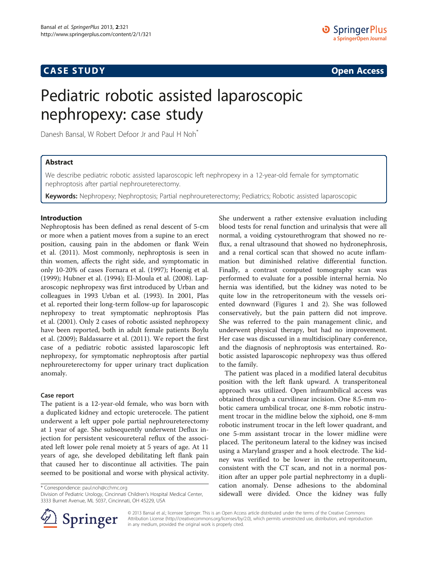## **CASE STUDY CASE STUDY Open Access**

# Pediatric robotic assisted laparoscopic nephropexy: case study

Danesh Bansal, W Robert Defoor Jr and Paul H Noh<sup>\*</sup>

## Abstract

We describe pediatric robotic assisted laparoscopic left nephropexy in a 12-year-old female for symptomatic nephroptosis after partial nephroureterectomy.

Keywords: Nephropexy; Nephroptosis; Partial nephroureterectomy; Pediatrics; Robotic assisted laparoscopic

## Introduction

Nephroptosis has been defined as renal descent of 5-cm or more when a patient moves from a supine to an erect position, causing pain in the abdomen or flank Wein et al. ([2011\)](#page-2-0). Most commonly, nephroptosis is seen in thin women, affects the right side, and symptomatic in only 10-20% of cases Fornara et al. ([1997\);](#page-2-0) Hoenig et al. ([1999](#page-2-0)); Hubner et al. [\(1994](#page-2-0)); El-Moula et al. ([2008](#page-2-0)). Laparoscopic nephropexy was first introduced by Urban and colleagues in 1993 Urban et al. ([1993\)](#page-2-0). In 2001, Plas et al. reported their long-term follow-up for laparoscopic nephropexy to treat symptomatic nephroptosis Plas et al. ([2001](#page-2-0)). Only 2 cases of robotic assisted nephropexy have been reported, both in adult female patients Boylu et al. [\(2009\)](#page-2-0); Baldassarre et al. [\(2011\)](#page-2-0). We report the first case of a pediatric robotic assisted laparoscopic left nephropexy, for symptomatic nephroptosis after partial nephroureterectomy for upper urinary tract duplication anomaly.

## Case report

The patient is a 12-year-old female, who was born with a duplicated kidney and ectopic ureterocele. The patient underwent a left upper pole partial nephroureterectomy at 1 year of age. She subsequently underwent Deflux injection for persistent vesicoureteral reflux of the associated left lower pole renal moiety at 5 years of age. At 11 years of age, she developed debilitating left flank pain that caused her to discontinue all activities. The pain seemed to be positional and worse with physical activity.

\* Correspondence: [paul.noh@cchmc.org](mailto:paul.noh@cchmc.org)

Division of Pediatric Urology, Cincinnati Children's Hospital Medical Center, 3333 Burnet Avenue, ML 5037, Cincinnati, OH 45229, USA

She underwent a rather extensive evaluation including blood tests for renal function and urinalysis that were all normal, a voiding cystourethrogram that showed no reflux, a renal ultrasound that showed no hydronephrosis, and a renal cortical scan that showed no acute inflammation but diminished relative differential function. Finally, a contrast computed tomography scan was performed to evaluate for a possible internal hernia. No hernia was identified, but the kidney was noted to be quite low in the retroperitoneum with the vessels oriented downward (Figures [1](#page-1-0) and [2](#page-1-0)). She was followed conservatively, but the pain pattern did not improve. She was referred to the pain management clinic, and underwent physical therapy, but had no improvement. Her case was discussed in a multidisciplinary conference, and the diagnosis of nephroptosis was entertained. Robotic assisted laparoscopic nephropexy was thus offered to the family.

The patient was placed in a modified lateral decubitus position with the left flank upward. A transperitoneal approach was utilized. Open infraumbilical access was obtained through a curvilinear incision. One 8.5-mm robotic camera umbilical trocar, one 8-mm robotic instrument trocar in the midline below the xiphoid, one 8-mm robotic instrument trocar in the left lower quadrant, and one 5-mm assistant trocar in the lower midline were placed. The peritoneum lateral to the kidney was incised using a Maryland grasper and a hook electrode. The kidney was verified to be lower in the retroperitoneum, consistent with the CT scan, and not in a normal position after an upper pole partial nephrectomy in a duplication anomaly. Dense adhesions to the abdominal sidewall were divided. Once the kidney was fully



© 2013 Bansal et al.; licensee Springer. This is an Open Access article distributed under the terms of the Creative Commons Attribution License [\(http://creativecommons.org/licenses/by/2.0\)](http://creativecommons.org/licenses/by/2.0), which permits unrestricted use, distribution, and reproduction in any medium, provided the original work is properly cited.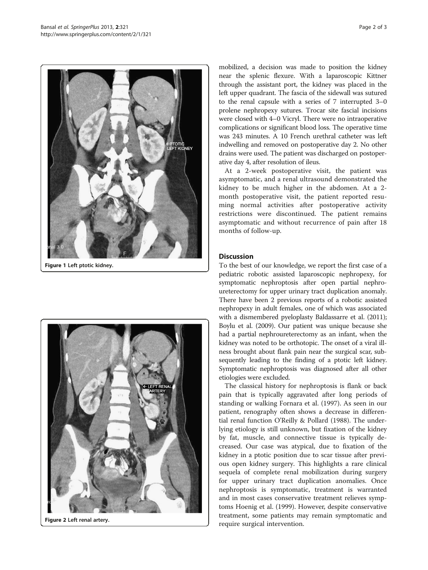<span id="page-1-0"></span>

Figure 1 Left ptotic kidney.



Figure 2 Left renal artery.

mobilized, a decision was made to position the kidney near the splenic flexure. With a laparoscopic Kittner through the assistant port, the kidney was placed in the left upper quadrant. The fascia of the sidewall was sutured to the renal capsule with a series of 7 interrupted 3–0 prolene nephropexy sutures. Trocar site fascial incisions were closed with 4–0 Vicryl. There were no intraoperative complications or significant blood loss. The operative time was 243 minutes. A 10 French urethral catheter was left indwelling and removed on postoperative day 2. No other drains were used. The patient was discharged on postoperative day 4, after resolution of ileus.

At a 2-week postoperative visit, the patient was asymptomatic, and a renal ultrasound demonstrated the kidney to be much higher in the abdomen. At a 2 month postoperative visit, the patient reported resuming normal activities after postoperative activity restrictions were discontinued. The patient remains asymptomatic and without recurrence of pain after 18 months of follow-up.

## **Discussion**

To the best of our knowledge, we report the first case of a pediatric robotic assisted laparoscopic nephropexy, for symptomatic nephroptosis after open partial nephroureterectomy for upper urinary tract duplication anomaly. There have been 2 previous reports of a robotic assisted nephropexy in adult females, one of which was associated with a dismembered pyeloplasty Baldassarre et al. [\(2011](#page-2-0)); Boylu et al. ([2009](#page-2-0)). Our patient was unique because she had a partial nephroureterectomy as an infant, when the kidney was noted to be orthotopic. The onset of a viral illness brought about flank pain near the surgical scar, subsequently leading to the finding of a ptotic left kidney. Symptomatic nephroptosis was diagnosed after all other etiologies were excluded.

The classical history for nephroptosis is flank or back pain that is typically aggravated after long periods of standing or walking Fornara et al. [\(1997\)](#page-2-0). As seen in our patient, renography often shows a decrease in differential renal function O'Reilly & Pollard [\(1988](#page-2-0)). The underlying etiology is still unknown, but fixation of the kidney by fat, muscle, and connective tissue is typically decreased. Our case was atypical, due to fixation of the kidney in a ptotic position due to scar tissue after previous open kidney surgery. This highlights a rare clinical sequela of complete renal mobilization during surgery for upper urinary tract duplication anomalies. Once nephroptosis is symptomatic, treatment is warranted and in most cases conservative treatment relieves symptoms Hoenig et al. ([1999\)](#page-2-0). However, despite conservative treatment, some patients may remain symptomatic and require surgical intervention.